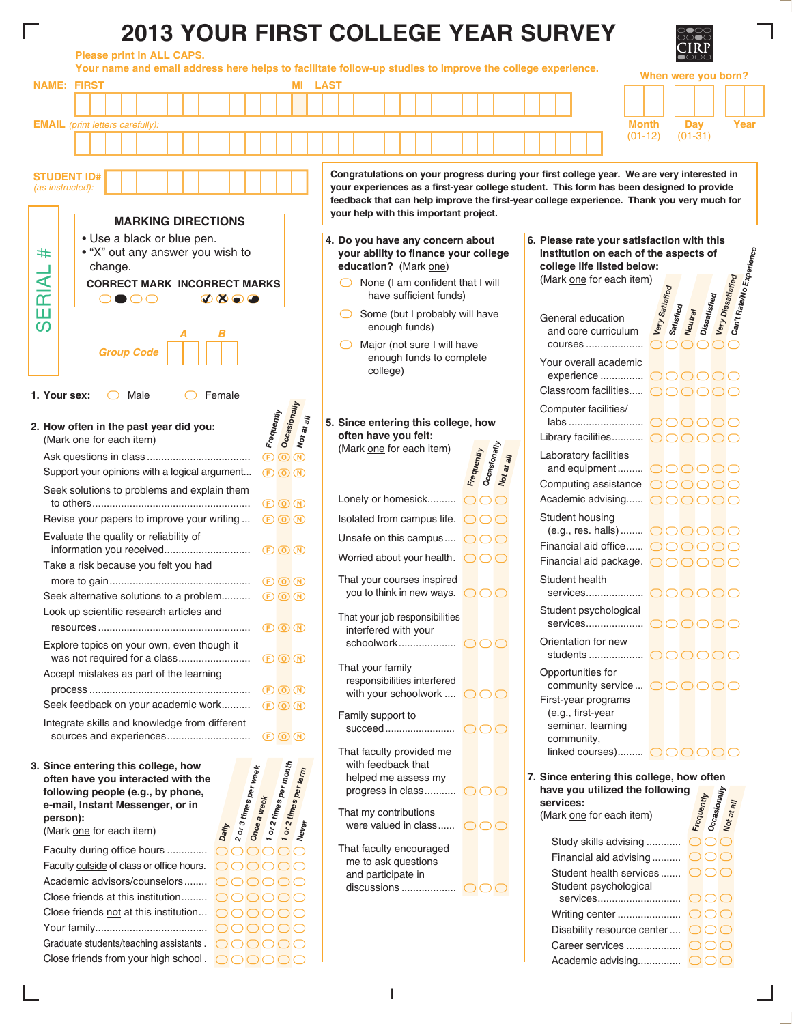## **2013 YOUR FIRST COLLEGE YEAR SURVEY**

**Please print in ALL CAPS.**

**Your name and email address here helps to facilitate follow-up studies to improve the college experience. When were you born? NAME: FIRST MI LAST EMAIL** *(print letters carefully):* **Month Day Year** (01-12) (01-31) **Congratulations on your progress during your first college year. We are very interested in STUDENT ID# your experiences as a first-year college student. This form has been designed to provide**  *(as instructed):* **feedback that can help improve the first-year college experience. Thank you very much for your help with this important project. MARKING DIRECTIONS** • Use a black or blue pen. **Do you have any concern about 4. Please rate your satisfaction with this 6. Can't Rate/No Experience** # • "X" out any answer you wish to **your ability to finance your college institution on each of the aspects of**  SERIAL # change. **education?** (Mark one) **college life listed below:** SERIAL  $\bigcirc$ (Mark one for each item) **Very Dissatisfied** None (I am confident that I will **CORRECT MARK INCORRECT MARKS Very Satisfied Dissatisfied** have sufficient funds)  $\bullet$  oo aan  $\bullet$   $\bullet$   $\bullet$ **Satisfied Neutral**  $\bigcirc$ Some (but I probably will have General education enough funds) and core curriculum *A B* ◯ Major (not sure I will have 00000 courses .................... *Group Code* enough funds to complete Your overall academic college) `````` experience ............... Classroom facilities..... `````` **1. Your sex:**  $\bigcirc$  Male  $\bigcirc$  Female Frequently<br><mark>Occasionally</mark> Computer facilities/ مج ہے<br>2**. How often in the past year did you:**<br><sub>ال</sub>علم (Mark <u>one</u> for each item) **Not at all** `````` labs .......................... **Since entering this college, how 5. How often in the past year did you: often have you felt:** Library facilities............ $\bigcirc$  $\bigcirc$  $\bigcirc$  $\bigcirc$  $\bigcirc$ (Mark one for each item) **Occasionally Frequently** (Mark one for each item) **Not at all** Laboratory facilities Ask questions in class .................................... FON and equipment.......... $\overline{\bigcirc}$   $\overline{\bigcirc}$   $\overline{\bigcirc}$   $\overline{\bigcirc}$   $\overline{\bigcirc}$   $\overline{\bigcirc}$ Support your opinions with a logical argument...  $FD$   $\Omega$   $\Omega$ Computing assistance  $\bigcirc$   $\bigcirc$   $\bigcirc$   $\bigcirc$   $\bigcirc$ Seek solutions to problems and explain them Lonely or homesick.......... OOO Academic advising......  $\bigcirc$   $\bigcirc$   $\bigcirc$   $\bigcirc$   $\bigcirc$ to others....................................................... FON Student housing Revise your papers to improve your writing ...  $\qquad \qquad \circledR \qquad \qquad \bullet$ Isolated from campus life.  $\cap \cap \cap$ (e.g., res. halls)......... $\overline{\bigcirc}$ Evaluate the quality or reliability of Unsafe on this campus....  $\overline{\bigcirc}$ Financial aid office......  $\overline{\bigcirc}$   $\overline{\bigcirc}$   $\overline{\bigcirc}$   $\overline{\bigcirc}$   $\overline{\bigcirc}$   $\overline{\bigcirc}$ information you received.............................. FON Worried about your health.  $\overline{\bigcirc}$ Financial aid package.  $\overline{\bigcirc}$   $\overline{\bigcirc}$   $\overline{\bigcirc}$   $\overline{\bigcirc}$   $\overline{\bigcirc}$   $\overline{\bigcirc}$ Take a risk because you felt you had That your courses inspired Student health more to gain................................................. FON you to think in new ways.  $\overline{\bigcirc}$ services.................... `````` Seek alternative solutions to a problem.......... FON Look up scientific research articles and Student psychological That your job responsibilities `````` services.................... resources ..................................................... FON interfered with your schoolwork.................... ``` Orientation for new Explore topics on your own, even though it `````` students ................... was not required for a class......................... FON That your family Opportunities for Accept mistakes as part of the learning responsibilities interfered  $\overline{\bigcirc}$  community service ...  $\overline{\bigcirc}$   $\overline{\bigcirc}$   $\overline{\bigcirc}$   $\overline{\bigcirc}$   $\overline{\bigcirc}$   $\overline{\bigcirc}$ process ........................................................ FON with your schoolwork ....  $\overline{\bigcirc} \overline{\bigcirc}$ First-year programs Seek feedback on your academic work.......... **FOO** (e.g., first-year Family support to Integrate skills and knowledge from different succeed ......................... ``` seminar, learning sources and experiences............................. FONcommunity,  $\Box$ linked courses).......... $\bigcirc$   $\bigcirc$   $\bigcirc$   $\bigcirc$   $\bigcirc$   $\bigcirc$ That faculty provided me with feedback that **1 or 2 times per month Since entering this college, how 3. 1 or 2 times per term 2 or 3 times per week often have you interacted with the**  helped me assess my **Since entering this college, how often 7. Occasionally have you utilized the following Once a week** progress in class...........  $\bigcirc$   $\bigcirc$   $\bigcirc$ **Frequently following people (e.g., by phone, Not at all services: e-mail, Instant Messenger, or in**  That my contributions (Mark one for each item) **person): Never** were valued in class......  $\bigcirc$   $\bigcirc$   $\bigcirc$ (Mark one for each item) **Daily**  $\overline{\bigcirc}$ Study skills advising ............ 000000 That faculty encouraged Faculty during office hours .............. Financial aid advising ..........  $\overline{\circ}$ me to ask questions <u>OOOOO</u> Faculty outside of class or office hours. Student health services ....... OOO and participate in Academic advisors/counselors........ `````` discussions .................... $\bigcirc$   $\bigcirc$   $\bigcirc$ Student psychological Close friends at this institution.........  $\overline{\circ}$   $\overline{\circ}$   $\overline{\circ}$   $\overline{\circ}$ services............................. ``` Close friends not at this institution...  $\overline{\bigcirc}$   $\overline{\bigcirc}$   $\overline{\bigcirc}$   $\overline{\bigcirc}$   $\overline{\bigcirc}$ Writing center ...................... ``` Your family....................................... `````` Disability resource center .... OOO Graduate students/teaching assistants .  $\overline{\bigcirc}$   $\overline{\bigcirc}$   $\overline{\bigcirc}$   $\overline{\bigcirc}$   $\overline{\bigcirc}$ Career services ................... ``` Close friends from your high school .  $\bigcirc$   $\bigcirc$   $\bigcirc$   $\bigcirc$   $\bigcirc$ Academic advising............... ```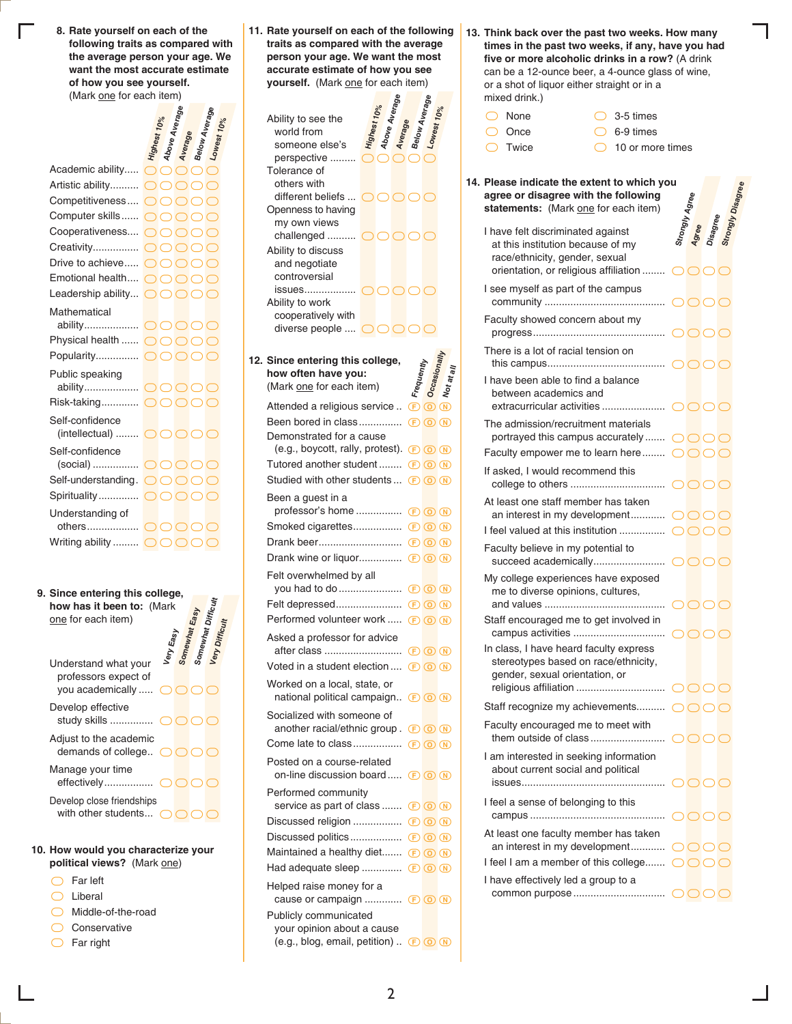**Rate yourself on each of the 8. following traits as compared with the average person your age. We want the most accurate estimate of how you see yourself.** (Mark one for each item)

**Above Average**

**Below Average**

|                                                                                          |  | Average | <sup>J</sup> Below Aver <sub>a</sub> |  |
|------------------------------------------------------------------------------------------|--|---------|--------------------------------------|--|
|                                                                                          |  |         |                                      |  |
| Academic ability                                                                         |  |         | OOOO                                 |  |
| Artistic ability $\bigcap \bigcap \bigcap$                                               |  |         |                                      |  |
| Competitiveness $\bigcirc$ $\bigcirc$ $\bigcirc$ $\bigcirc$                              |  |         |                                      |  |
| Computer skills OOOOO                                                                    |  |         |                                      |  |
| Cooperativeness $\bigcap \bigcap \bigcap \bigcap$                                        |  |         |                                      |  |
|                                                                                          |  |         |                                      |  |
| Drive to achieve $\bigcirc$ $\bigcirc$ $\bigcirc$ $\bigcirc$                             |  |         |                                      |  |
| Emotional health OOOOO                                                                   |  |         |                                      |  |
| Leadership ability $\bigcirc$ $\bigcirc$ $\bigcirc$ $\bigcirc$                           |  |         |                                      |  |
| Mathematical                                                                             |  |         |                                      |  |
|                                                                                          |  |         |                                      |  |
| Physical health  OOOOO                                                                   |  |         |                                      |  |
| Popularity $\bigcirc$ $\bigcirc$ $\bigcirc$ $\bigcirc$ $\bigcirc$                        |  |         |                                      |  |
| Public speaking                                                                          |  |         |                                      |  |
|                                                                                          |  |         |                                      |  |
| Risk-taking OOOOC                                                                        |  |         |                                      |  |
| Self-confidence<br>(intellectual) $\bigcirc$ $\bigcirc$ $\bigcirc$ $\bigcirc$ $\bigcirc$ |  |         |                                      |  |
| Self-confidence                                                                          |  |         |                                      |  |
|                                                                                          |  |         |                                      |  |
| Self-understanding. OOOOO                                                                |  |         |                                      |  |
| Spirituality OOOO                                                                        |  |         |                                      |  |
| Understanding of                                                                         |  |         |                                      |  |
|                                                                                          |  |         |                                      |  |
| Writing ability  OOOOO                                                                   |  |         |                                      |  |

**Since entering this college, 9. how has it been to:** (Mark one for each item) Understand what your professors expect of you academically .....  $\bigcirc$   $\bigcirc$   $\bigcirc$   $\bigcirc$ **Very Easy Somewhat Easy Somewhat Difficult Very Difficult** Develop effective study skills ............... ```` Adjust to the academic demands of college..  $\bigcirc$   $\bigcirc$   $\bigcirc$ Manage your time effectively................. ```` Develop close friendships with other students...  $\bigcirc$   $\bigcirc$   $\bigcirc$ 

#### **How would you characterize your 10. political views?** (Mark one)

- ` Far left
- ` Liberal
- ` Middle-of-the-road
- C Conservative
- $\bigcirc$  Far right

**Rate yourself on each of the following 11. traits as compared with the average person your age. We want the most accurate estimate of how you see yourself.** (Mark one for each item)

**Highest 10% Above Average Average Below Average Lowest 10%**  $\overline{\bigcirc}$  $\overline{\bigcirc}$ Ability to see the world from someone else's perspective ......... OO different beliefs ... **OOOOO**  $\bigcirc$   $\bigcirc$   $\bigcirc$   $\bigcirc$   $\bigcirc$   $\bigcirc$   $\bigcirc$ Tolerance of others with Openness to having my own views ````` issues.................. Ability to discuss and negotiate controversial diverse people ....  $\bigcirc$   $\bigcirc$   $\bigcirc$   $\bigcirc$   $\bigcirc$ Ability to work cooperatively with حد **Since entering this college,**<br> **12.** Since often have you:<br>
(Mark <u>one</u> for each item) **how often have you:** (Mark one for each item) Frequently<br>Occasionall<sub>)</sub> Attended a religious service ..  $\circled{F} \circled{N}$ Been bored in class............... FON Tutored another student ........ **E O N** Studied with other students ...  $\circledR$  <sup>O</sup> Been a guest in a professor's home ................ FON Smoked cigarettes.................. **E O N** Drank beer............................. FON Drank wine or liquor................ **E O N** Felt overwhelmed by all you had to do...................... FON Felt depressed....................... FON Performed volunteer work ..... **E O** Asked a professor for advice after class ........................... Demonstrated for a cause (e.g., boycott, rally, protest).  $\Box$   $\Box$   $\Box$ 

**Not at all**

| Voted in a student election  (F) O N                          |
|---------------------------------------------------------------|
|                                                               |
|                                                               |
| national political campaign BOW                               |
| another racial/ethnic group. $\bigcirc$ $\bigcirc$ $\bigcirc$ |
|                                                               |
| on-line discussion board (F) O (N)                            |
| service as part of class  E O N                               |
|                                                               |
|                                                               |
| Maintained a healthy diet E O N                               |
| Had adequate sleep $(F)$ (0) (N)                              |
| cause or campaign $(F)$ (0) (N)                               |
| (e.g., blog, email, petition). $(F)$ (o) (N)                  |
|                                                               |

**Think back over the past two weeks. How many 13. times in the past two weeks, if any, have you had five or more alcoholic drinks in a row?** (A drink can be a 12-ounce beer, a 4-ounce glass of wine, or a shot of liquor either straight or in a mixed drink.)

| ◯ None  | $\bigcap$ 3-5 times        |
|---------|----------------------------|
| ◯ Once  | $\bigcap$ 6-9 times        |
| ◯ Twice | $\bigcap$ 10 or more times |

| 14. Please indicate the extent to which you<br>agree or disagree with the following<br>statements: (Mark one for each item) |               |       |          |  |
|-----------------------------------------------------------------------------------------------------------------------------|---------------|-------|----------|--|
| I have felt discriminated against<br>at this institution because of my<br>race/ethnicity, gender, sexual                    |               | Agree | Disagree |  |
| orientation, or religious affiliation  OOOC                                                                                 |               |       |          |  |
| I see myself as part of the campus                                                                                          |               |       |          |  |
| Faculty showed concern about my                                                                                             |               |       |          |  |
| There is a lot of racial tension on                                                                                         |               |       |          |  |
| I have been able to find a balance<br>between academics and                                                                 |               |       |          |  |
| The admission/recruitment materials                                                                                         |               |       |          |  |
| portrayed this campus accurately OOOC                                                                                       |               |       |          |  |
| Faculty empower me to learn here $\bigcirc \bigcirc \bigcirc \bigcirc$<br>If asked, I would recommend this                  |               |       |          |  |
|                                                                                                                             |               |       |          |  |
| At least one staff member has taken<br>an interest in my development OOOC                                                   |               |       |          |  |
|                                                                                                                             |               |       |          |  |
| Faculty believe in my potential to                                                                                          |               |       |          |  |
| My college experiences have exposed<br>me to diverse opinions, cultures,                                                    |               |       |          |  |
| Staff encouraged me to get involved in                                                                                      |               |       |          |  |
| In class, I have heard faculty express<br>stereotypes based on race/ethnicity,<br>gender, sexual orientation, or            |               |       |          |  |
| Staff recognize my achievements OOOC                                                                                        |               |       |          |  |
| Faculty encouraged me to meet with                                                                                          |               |       |          |  |
| I am interested in seeking information<br>about current social and political                                                |               |       |          |  |
| I feel a sense of belonging to this                                                                                         | $\cap$ $\cap$ |       |          |  |
| At least one faculty member has taken<br>an interest in my development $\bigcirc$                                           |               |       |          |  |
| I feel I am a member of this college $\bigcirc \bigcirc \bigcirc$                                                           |               |       |          |  |
| I have effectively led a group to a                                                                                         |               |       |          |  |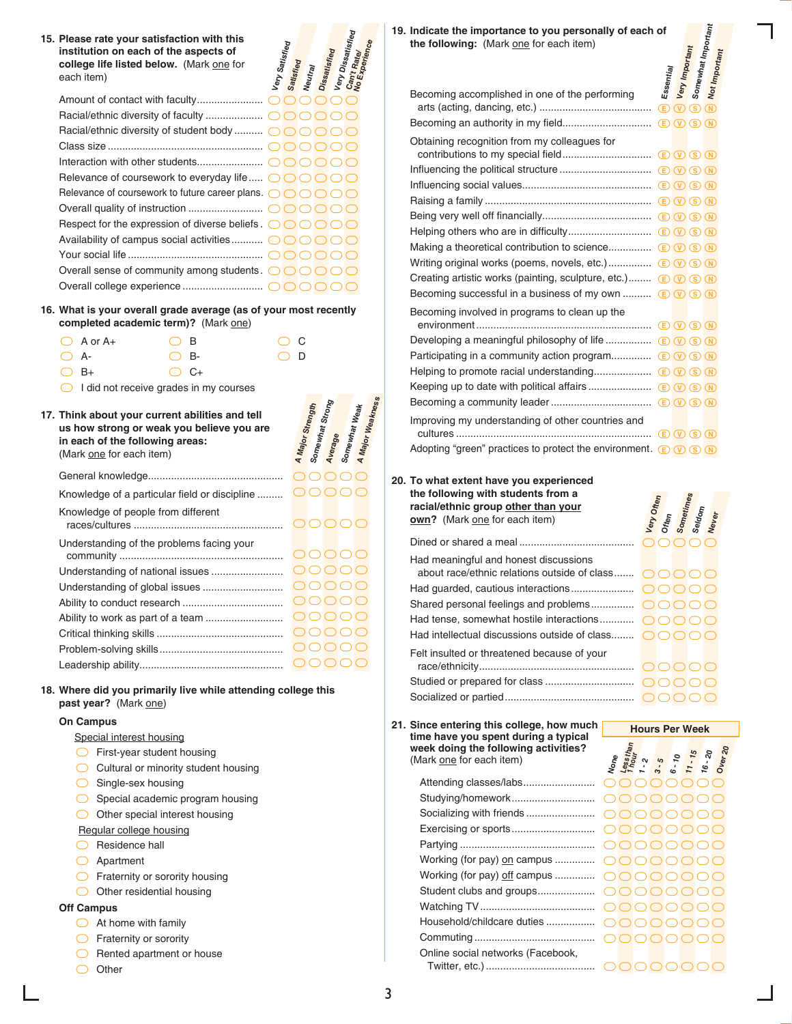| 15. Please rate your satisfaction with this<br>each item)                                                      | institution on each of the aspects of<br>college life listed below. (Mark one for                                                                                                                                                                                                                                                                                                                  | Very Satisfied | Satisfied<br>Neutray                            | , Very Dissatisfied<br>Dissatisfied |               |
|----------------------------------------------------------------------------------------------------------------|----------------------------------------------------------------------------------------------------------------------------------------------------------------------------------------------------------------------------------------------------------------------------------------------------------------------------------------------------------------------------------------------------|----------------|-------------------------------------------------|-------------------------------------|---------------|
|                                                                                                                | Racial/ethnic diversity of student body  OOO<br>Relevance of coursework to everyday life $\bigcirc \bigcirc \bigcirc \bigcirc$<br>Relevance of coursework to future career plans. $\bigcirc$ O O<br>Respect for the expression of diverse beliefs. $\bigcirc$ $\bigcirc$ $\bigcirc$ $\bigcirc$<br>Availability of campus social activities OOOC<br>Overall sense of community among students. OOOO |                |                                                 |                                     |               |
| 16. What is your overall grade average (as of your most recently                                               | completed academic term)? (Mark one)                                                                                                                                                                                                                                                                                                                                                               |                |                                                 |                                     |               |
| $A$ or $A+$<br>◯<br>- A-<br>○ B+                                                                               | в<br>B-<br>C+<br>I did not receive grades in my courses                                                                                                                                                                                                                                                                                                                                            |                | С<br>D                                          |                                     |               |
| 17. Think about your current abilities and tell<br>in each of the following areas:<br>(Mark one for each item) | us how strong or weak you believe you are                                                                                                                                                                                                                                                                                                                                                          |                | Somewhat Stron <sub>g</sub><br>A Major Strength | Average                             | Somewhat Weak |
|                                                                                                                |                                                                                                                                                                                                                                                                                                                                                                                                    |                | $\bigcap$ $\bigcap$                             |                                     |               |
|                                                                                                                | Knowledge of a particular field or discipline                                                                                                                                                                                                                                                                                                                                                      |                | $\bigcap$ $\bigcap$                             |                                     |               |
| Knowledge of people from different                                                                             |                                                                                                                                                                                                                                                                                                                                                                                                    |                |                                                 |                                     |               |
|                                                                                                                | Understanding of the problems facing your                                                                                                                                                                                                                                                                                                                                                          |                |                                                 |                                     |               |
|                                                                                                                | Understanding of national issues                                                                                                                                                                                                                                                                                                                                                                   |                | 00000                                           |                                     |               |
|                                                                                                                | Understanding of global issues                                                                                                                                                                                                                                                                                                                                                                     |                | OOOOC                                           |                                     |               |
|                                                                                                                |                                                                                                                                                                                                                                                                                                                                                                                                    |                | OOOOC                                           |                                     |               |
|                                                                                                                | Ability to work as part of a team                                                                                                                                                                                                                                                                                                                                                                  |                | OOOOC                                           |                                     |               |
|                                                                                                                |                                                                                                                                                                                                                                                                                                                                                                                                    |                | OOOOC                                           |                                     |               |
|                                                                                                                |                                                                                                                                                                                                                                                                                                                                                                                                    |                | 00000                                           |                                     |               |
|                                                                                                                |                                                                                                                                                                                                                                                                                                                                                                                                    |                |                                                 |                                     |               |
|                                                                                                                |                                                                                                                                                                                                                                                                                                                                                                                                    |                | 00000                                           |                                     |               |

### **On Campus**

Special interest housing

- $\overline{\bigcirc}$  First-year student housing
- C Cultural or minority student housing
- ◯ Single-sex housing
- **Special academic program housing**

O Other special interest housing

- Regular college housing
- Residence hall
- ` Apartment
- **C** Fraternity or sorority housing
- O Other residential housing

#### **Off Campus**

- $\bigcirc$  At home with family
- **C** Fraternity or sorority
- ◯ Rented apartment or house
- O Other

**Indicate the importance to you personally of each of 19.** the following: (Mark one for each item)

| Indicate the importance to you personally of each of<br>the following: (Mark one for each item)                |                          |                               |                                 |               |  |
|----------------------------------------------------------------------------------------------------------------|--------------------------|-------------------------------|---------------------------------|---------------|--|
|                                                                                                                |                          |                               |                                 |               |  |
|                                                                                                                |                          |                               |                                 |               |  |
| Becoming accomplished in one of the performing                                                                 | Essential<br>$\bigoplus$ | Very Important<br>$\circledR$ | Somewhat Important<br>$(S)$ (N) | Not Important |  |
|                                                                                                                |                          |                               |                                 |               |  |
| Obtaining recognition from my colleagues for                                                                   |                          |                               |                                 |               |  |
|                                                                                                                |                          |                               |                                 |               |  |
|                                                                                                                |                          |                               |                                 |               |  |
|                                                                                                                |                          |                               |                                 |               |  |
|                                                                                                                |                          |                               |                                 |               |  |
|                                                                                                                |                          |                               |                                 |               |  |
|                                                                                                                |                          |                               |                                 |               |  |
|                                                                                                                |                          |                               |                                 |               |  |
| Creating artistic works (painting, sculpture, etc.) (E) $(\overline{V})$ (S) (N)                               |                          |                               |                                 |               |  |
| Becoming successful in a business of my own  (E) $\nabla$ (S) $\overline{N}$ )                                 |                          |                               |                                 |               |  |
| Becoming involved in programs to clean up the                                                                  |                          |                               |                                 |               |  |
|                                                                                                                |                          |                               |                                 |               |  |
|                                                                                                                |                          |                               |                                 |               |  |
| Participating in a community action program E V S N                                                            |                          |                               |                                 |               |  |
|                                                                                                                |                          |                               |                                 |               |  |
|                                                                                                                |                          |                               |                                 |               |  |
|                                                                                                                |                          |                               |                                 |               |  |
| Improving my understanding of other countries and                                                              |                          |                               |                                 |               |  |
| Adopting "green" practices to protect the environment. $\bigcirc \bigcirc \bigcirc \bigcirc \bigcirc \bigcirc$ |                          |                               |                                 |               |  |

**To what extent have you experienced 20. the following with students from a racial/ethnic group other than your own?** (Mark one for each item)

| the following with students from a<br>racial/ethnic group other than your<br>own? (Mark one for each item) | Very Often |  | Often<br>Sometimes<br>Seldom<br>Never |  |
|------------------------------------------------------------------------------------------------------------|------------|--|---------------------------------------|--|
|                                                                                                            |            |  |                                       |  |
| Had meaningful and honest discussions                                                                      |            |  |                                       |  |
| about race/ethnic relations outside of class $\bigcirc$                                                    |            |  |                                       |  |
|                                                                                                            |            |  |                                       |  |
|                                                                                                            |            |  |                                       |  |
| Had tense, somewhat hostile interactions $\bigcirc$ $\bigcirc$ $\bigcirc$ $\bigcirc$ $\bigcirc$            |            |  |                                       |  |
| Had intellectual discussions outside of class $\bigcap \bigcap \bigcap$                                    |            |  |                                       |  |
| Felt insulted or threatened because of your                                                                |            |  |                                       |  |
|                                                                                                            |            |  |                                       |  |
|                                                                                                            |            |  |                                       |  |
|                                                                                                            |            |  |                                       |  |

**Hours Per Week**

**Since entering this college, how much 21. time have you spent during a typical week doing the following activities?**  (Mark one for each item)

| reek doing the following activities?<br>Mark one for each item) | None<br><i>Less thouring</i><br>1 - 2 5 5 7 15 70<br>6 - 10 16 - 20<br>16 - 20<br>Over 20 |             |  |      |  |
|-----------------------------------------------------------------|-------------------------------------------------------------------------------------------|-------------|--|------|--|
|                                                                 |                                                                                           | ( ) ( ) ( ) |  |      |  |
|                                                                 |                                                                                           |             |  |      |  |
|                                                                 |                                                                                           |             |  |      |  |
|                                                                 |                                                                                           |             |  |      |  |
|                                                                 |                                                                                           |             |  |      |  |
|                                                                 |                                                                                           |             |  |      |  |
| Working (for pay) off campus  OOOOOOOO                          |                                                                                           |             |  |      |  |
|                                                                 |                                                                                           |             |  |      |  |
|                                                                 |                                                                                           |             |  |      |  |
|                                                                 |                                                                                           |             |  |      |  |
|                                                                 |                                                                                           |             |  | DOOO |  |
| Online social networks (Facebook,                               |                                                                                           |             |  |      |  |
|                                                                 |                                                                                           |             |  |      |  |